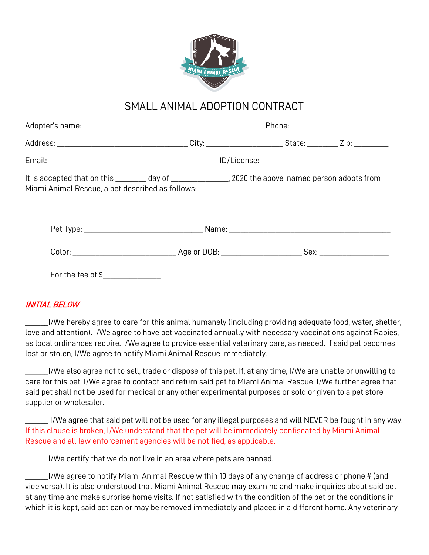

## SMALL ANIMAL ADOPTION CONTRACT

| It is accepted that on this ________ day of _______________, 2020 the above-named person adopts from<br>Miami Animal Rescue, a pet described as follows: |                                                                                                                |      |  |
|----------------------------------------------------------------------------------------------------------------------------------------------------------|----------------------------------------------------------------------------------------------------------------|------|--|
|                                                                                                                                                          |                                                                                                                |      |  |
| Color:                                                                                                                                                   | Age or DOB: Network and the set of the set of the set of the set of the set of the set of the set of the set o | Sex: |  |

For the fee of \$

## INITIAL BELOW

\_\_\_\_\_\_I/We hereby agree to care for this animal humanely (including providing adequate food, water, shelter, love and attention). I/We agree to have pet vaccinated annually with necessary vaccinations against Rabies, as local ordinances require. I/We agree to provide essential veterinary care, as needed. If said pet becomes lost or stolen, I/We agree to notify Miami Animal Rescue immediately.

\_\_\_\_\_\_I/We also agree not to sell, trade or dispose of this pet. If, at any time, I/We are unable or unwilling to care for this pet, I/We agree to contact and return said pet to Miami Animal Rescue. I/We further agree that said pet shall not be used for medical or any other experimental purposes or sold or given to a pet store, supplier or wholesaler.

\_\_\_\_\_\_ I/We agree that said pet will not be used for any illegal purposes and will NEVER be fought in any way. If this clause is broken, I/We understand that the pet will be immediately confiscated by Miami Animal Rescue and all law enforcement agencies will be notified, as applicable.

\_\_\_\_\_\_I/We certify that we do not live in an area where pets are banned.

 $\_$ I/We agree to notify Miami Animal Rescue within 10 days of any change of address or phone # (and vice versa). It is also understood that Miami Animal Rescue may examine and make inquiries about said pet at any time and make surprise home visits. If not satisfied with the condition of the pet or the conditions in which it is kept, said pet can or may be removed immediately and placed in a different home. Any veterinary